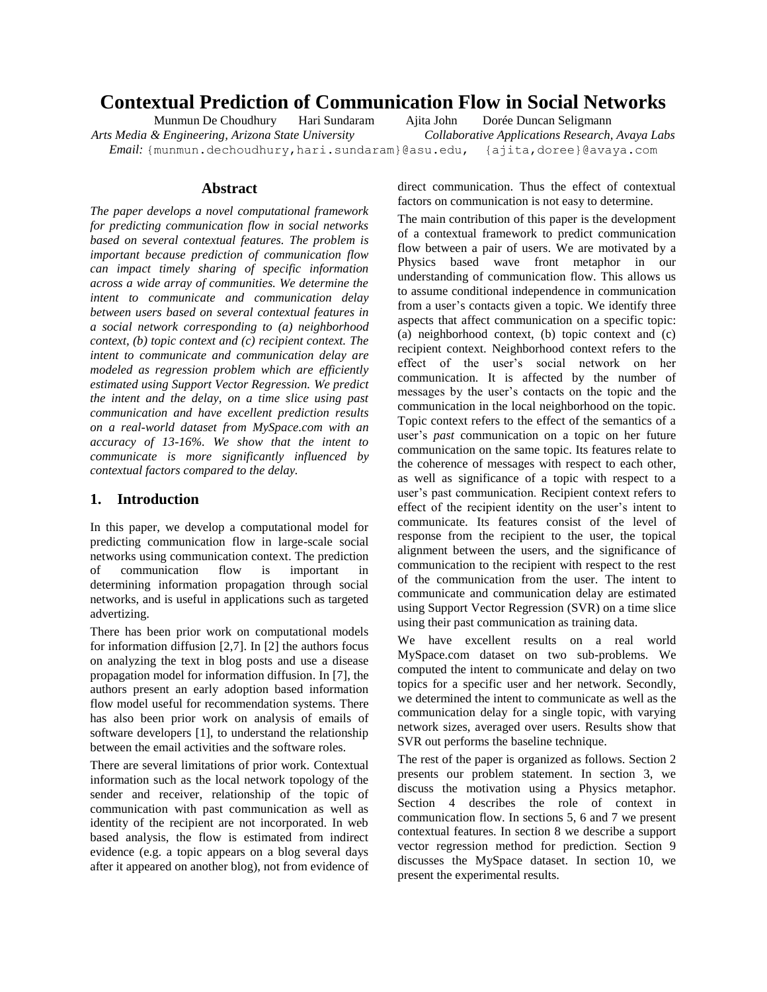# **Contextual Prediction of Communication Flow in Social Networks**

Munmun De Choudhury Hari Sundaram Ajita John Dorée Duncan Seligmann *Arts Media & Engineering, Arizona State University Collaborative Applications Research, Avaya Labs Email:* {munmun.dechoudhury,hari.sundaram}@asu.edu, {ajita,doree}@avaya.com

## **Abstract**

*The paper develops a novel computational framework for predicting communication flow in social networks based on several contextual features. The problem is important because prediction of communication flow can impact timely sharing of specific information across a wide array of communities. We determine the intent to communicate and communication delay between users based on several contextual features in a social network corresponding to (a) neighborhood context, (b) topic context and (c) recipient context. The intent to communicate and communication delay are modeled as regression problem which are efficiently estimated using Support Vector Regression. We predict the intent and the delay, on a time slice using past communication and have excellent prediction results on a real-world dataset from MySpace.com with an accuracy of 13-16%. We show that the intent to communicate is more significantly influenced by contextual factors compared to the delay.*

# **1. Introduction**

In this paper, we develop a computational model for predicting communication flow in large-scale social networks using communication context. The prediction of communication flow is important in determining information propagation through social networks, and is useful in applications such as targeted advertizing.

There has been prior work on computational models for information diffusion [2,7]. In [2] the authors focus on analyzing the text in blog posts and use a disease propagation model for information diffusion. In [7], the authors present an early adoption based information flow model useful for recommendation systems. There has also been prior work on analysis of emails of software developers [1], to understand the relationship between the email activities and the software roles.

There are several limitations of prior work. Contextual information such as the local network topology of the sender and receiver, relationship of the topic of communication with past communication as well as identity of the recipient are not incorporated. In web based analysis, the flow is estimated from indirect evidence (e.g. a topic appears on a blog several days after it appeared on another blog), not from evidence of direct communication. Thus the effect of contextual factors on communication is not easy to determine.

The main contribution of this paper is the development of a contextual framework to predict communication flow between a pair of users. We are motivated by a Physics based wave front metaphor in our understanding of communication flow. This allows us to assume conditional independence in communication from a user's contacts given a topic. We identify three aspects that affect communication on a specific topic: (a) neighborhood context, (b) topic context and (c) recipient context. Neighborhood context refers to the effect of the user"s social network on her communication. It is affected by the number of messages by the user"s contacts on the topic and the communication in the local neighborhood on the topic. Topic context refers to the effect of the semantics of a user's *past* communication on a topic on her future communication on the same topic. Its features relate to the coherence of messages with respect to each other, as well as significance of a topic with respect to a user"s past communication. Recipient context refers to effect of the recipient identity on the user's intent to communicate. Its features consist of the level of response from the recipient to the user, the topical alignment between the users, and the significance of communication to the recipient with respect to the rest of the communication from the user. The intent to communicate and communication delay are estimated using Support Vector Regression (SVR) on a time slice using their past communication as training data.

We have excellent results on a real world MySpace.com dataset on two sub-problems. We computed the intent to communicate and delay on two topics for a specific user and her network. Secondly, we determined the intent to communicate as well as the communication delay for a single topic, with varying network sizes, averaged over users. Results show that SVR out performs the baseline technique.

The rest of the paper is organized as follows. Section 2 presents our problem statement. In section 3, we discuss the motivation using a Physics metaphor. Section 4 describes the role of context in communication flow. In sections 5, 6 and 7 we present contextual features. In section 8 we describe a support vector regression method for prediction. Section 9 discusses the MySpace dataset. In section 10, we present the experimental results.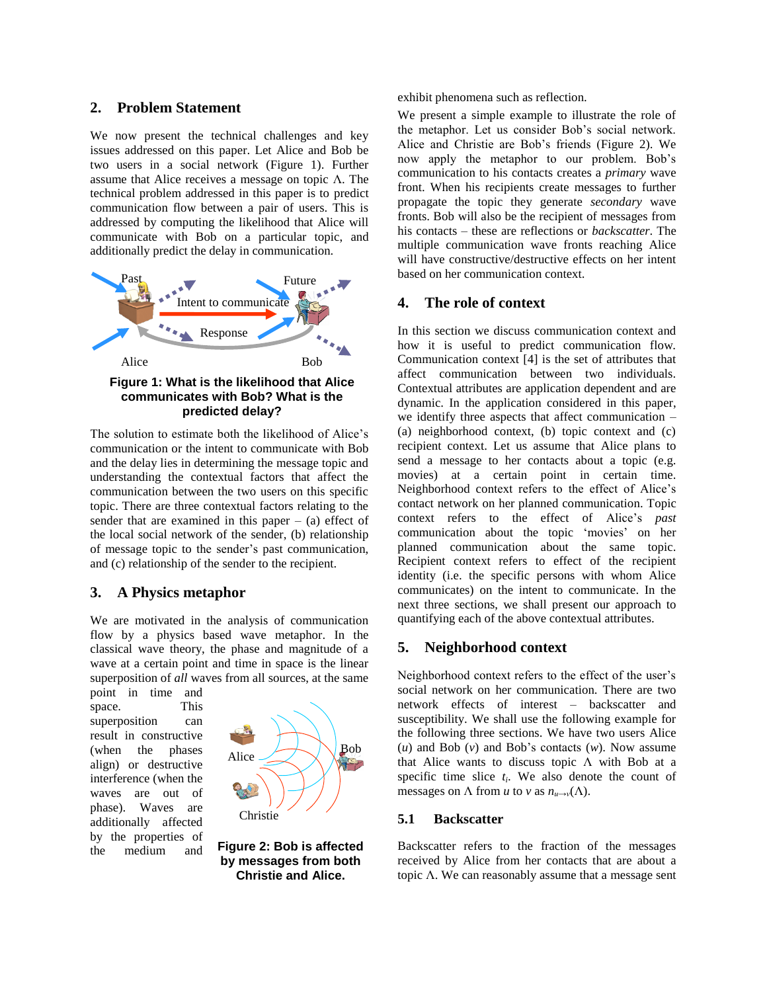# **2. Problem Statement**

We now present the technical challenges and key issues addressed on this paper. Let Alice and Bob be two users in a social network [\(Figure 1\)](#page-1-0). Further assume that Alice receives a message on topic Λ. The technical problem addressed in this paper is to predict communication flow between a pair of users. This is addressed by computing the likelihood that Alice will communicate with Bob on a particular topic, and additionally predict the delay in communication.



<span id="page-1-0"></span>The solution to estimate both the likelihood of Alice"s communication or the intent to communicate with Bob and the delay lies in determining the message topic and understanding the contextual factors that affect the communication between the two users on this specific topic. There are three contextual factors relating to the sender that are examined in this paper  $-$  (a) effect of the local social network of the sender, (b) relationship of message topic to the sender"s past communication, and (c) relationship of the sender to the recipient.

# **3. A Physics metaphor**

We are motivated in the analysis of communication flow by a physics based wave metaphor. In the classical wave theory, the phase and magnitude of a wave at a certain point and time in space is the linear superposition of *all* waves from all sources, at the same

point in time and space. This superposition can result in constructive (when the phases align) or destructive interference (when the waves are out of phase). Waves are additionally affected by the properties of the medium and



<span id="page-1-1"></span>**Figure 2: Bob is affected by messages from both Christie and Alice.**

exhibit phenomena such as reflection.

We present a simple example to illustrate the role of the metaphor. Let us consider Bob"s social network. Alice and Christie are Bob"s friends [\(Figure 2\)](#page-1-1). We now apply the metaphor to our problem. Bob"s communication to his contacts creates a *primary* wave front. When his recipients create messages to further propagate the topic they generate *secondary* wave fronts. Bob will also be the recipient of messages from his contacts – these are reflections or *backscatter*. The multiple communication wave fronts reaching Alice will have constructive/destructive effects on her intent based on her communication context.

# **4. The role of context**

In this section we discuss communication context and how it is useful to predict communication flow. Communication context [4] is the set of attributes that affect communication between two individuals. Contextual attributes are application dependent and are dynamic. In the application considered in this paper, we identify three aspects that affect communication – (a) neighborhood context, (b) topic context and (c) recipient context. Let us assume that Alice plans to send a message to her contacts about a topic (e.g. movies) at a certain point in certain time. Neighborhood context refers to the effect of Alice"s contact network on her planned communication. Topic context refers to the effect of Alice"s *past*  communication about the topic "movies" on her planned communication about the same topic. Recipient context refers to effect of the recipient identity (i.e. the specific persons with whom Alice communicates) on the intent to communicate. In the next three sections, we shall present our approach to quantifying each of the above contextual attributes.

# **5. Neighborhood context**

Neighborhood context refers to the effect of the user"s social network on her communication. There are two network effects of interest – backscatter and susceptibility. We shall use the following example for the following three sections. We have two users Alice (*u*) and Bob (*v*) and Bob"s contacts (*w*). Now assume that Alice wants to discuss topic Λ with Bob at a specific time slice  $t_i$ . We also denote the count of messages on  $\Lambda$  from *u* to *v* as  $n_{u\to v}(\Lambda)$ .

# **5.1 Backscatter**

Backscatter refers to the fraction of the messages received by Alice from her contacts that are about a topic Λ. We can reasonably assume that a message sent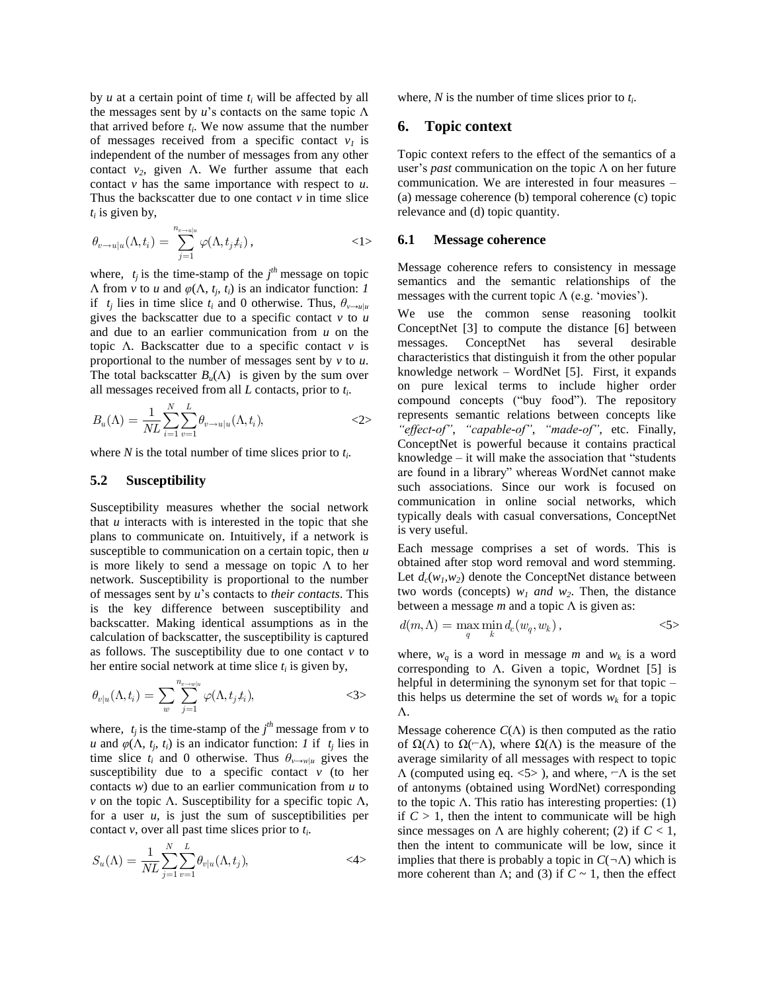by  $u$  at a certain point of time  $t_i$  will be affected by all the messages sent by  $u$ 's contacts on the same topic  $\Lambda$ that arrived before  $t_i$ . We now assume that the number of messages received from a specific contact  $v<sub>1</sub>$  is independent of the number of messages from any other contact  $v_2$ , given  $\Lambda$ . We further assume that each contact *v* has the same importance with respect to *u*. Thus the backscatter due to one contact  $\nu$  in time slice  $t_i$  is given by,

$$
\theta_{v \to u|u}(\Lambda, t_i) = \sum_{j=1}^{n_{v \to u|u}} \varphi(\Lambda, t_j, t_i), \qquad \qquad \leq 1 \tag{1}
$$

where,  $t_j$  is the time-stamp of the  $j<sup>th</sup>$  message on topic Λ from *v* to *u* and *φ*(Λ*, t<sup>j</sup> , ti*) is an indicator function: *1* if  $t_j$  lies in time slice  $t_i$  and 0 otherwise. Thus,  $\theta_{v \to u|u}$ gives the backscatter due to a specific contact  $\nu$  to  $\mu$ and due to an earlier communication from *u* on the topic Λ. Backscatter due to a specific contact *v* is proportional to the number of messages sent by *v* to *u*. The total backscatter  $B_u(\Lambda)$  is given by the sum over all messages received from all *L* contacts, prior to *t<sup>i</sup>* .

$$
B_u(\Lambda) = \frac{1}{NL} \sum_{i=1}^N \sum_{v=1}^L \theta_{v \to u|u}(\Lambda, t_i), \qquad \qquad \text{<2>}
$$

where *N* is the total number of time slices prior to *t<sup>i</sup>* .

## **5.2 Susceptibility**

Susceptibility measures whether the social network that *u* interacts with is interested in the topic that she plans to communicate on. Intuitively, if a network is susceptible to communication on a certain topic, then *u* is more likely to send a message on topic  $\Lambda$  to her network. Susceptibility is proportional to the number of messages sent by *u*"s contacts to *their contacts*. This is the key difference between susceptibility and backscatter. Making identical assumptions as in the calculation of backscatter, the susceptibility is captured as follows. The susceptibility due to one contact  $\nu$  to her entire social network at time slice *t<sup>i</sup>* is given by,

$$
\theta_{v|u}(\Lambda, t_i) = \sum_{w} \sum_{j=1}^{n_{v \to w|u}} \varphi(\Lambda, t_j, t_i), \qquad \qquad \text{<3>}
$$

where,  $t_j$  is the time-stamp of the  $j<sup>th</sup>$  message from  $v$  to *u* and  $\varphi(\Lambda, t_j, t_i)$  is an indicator function: *1* if  $t_j$  lies in time slice  $t_i$  and 0 otherwise. Thus  $\theta_{v \to w|u}$  gives the susceptibility due to a specific contact  $v$  (to her contacts *w*) due to an earlier communication from *u* to *v* on the topic  $\Lambda$ . Susceptibility for a specific topic  $\Lambda$ , for a user *u*, is just the sum of susceptibilities per contact *v*, over all past time slices prior to *t<sup>i</sup>* .

$$
S_u(\Lambda) = \frac{1}{NL} \sum_{j=1}^{N} \sum_{v=1}^{L} \theta_{v|u}(\Lambda, t_j), \qquad \qquad \text{<4>}
$$

where, *N* is the number of time slices prior to *t<sup>i</sup>* .

## **6. Topic context**

Topic context refers to the effect of the semantics of a user"s *past* communication on the topic Λ on her future communication. We are interested in four measures – (a) message coherence (b) temporal coherence (c) topic relevance and (d) topic quantity.

## **6.1 Message coherence**

Message coherence refers to consistency in message semantics and the semantic relationships of the messages with the current topic  $\Lambda$  (e.g. 'movies').

We use the common sense reasoning toolkit ConceptNet [3] to compute the distance [6] between messages. ConceptNet has several desirable characteristics that distinguish it from the other popular knowledge network – WordNet [5]. First, it expands on pure lexical terms to include higher order compound concepts ("buy food"). The repository represents semantic relations between concepts like *"effect-of"*, *"capable-of"*, *"made-of",* etc. Finally, ConceptNet is powerful because it contains practical knowledge – it will make the association that "students are found in a library" whereas WordNet cannot make such associations. Since our work is focused on communication in online social networks, which typically deals with casual conversations, ConceptNet is very useful.

Each message comprises a set of words. This is obtained after stop word removal and word stemming. Let  $d_c(w_l, w_2)$  denote the ConceptNet distance between two words (concepts)  $w_1$  *and*  $w_2$ . Then, the distance between a message *m* and a topic Λ is given as:

$$
d(m,\Lambda) = \max_{q} \min_{k} d_c(w_q, w_k),
$$
  

$$
\langle 5 \rangle
$$

where,  $w_q$  is a word in message *m* and  $w_k$  is a word corresponding to  $\Lambda$ . Given a topic, Wordnet [5] is helpful in determining the synonym set for that topic – this helps us determine the set of words  $w_k$  for a topic Λ.

Message coherence  $C(\Lambda)$  is then computed as the ratio of  $\Omega(\Lambda)$  to  $\Omega(-\Lambda)$ , where  $\Omega(\Lambda)$  is the measure of the average similarity of all messages with respect to topic  $\Lambda$  (computed using eq. <5>), and where,  $\neg \Lambda$  is the set of antonyms (obtained using WordNet) corresponding to the topic Λ. This ratio has interesting properties:  $(1)$ if  $C > 1$ , then the intent to communicate will be high since messages on  $\Lambda$  are highly coherent; (2) if  $C < 1$ , then the intent to communicate will be low, since it implies that there is probably a topic in  $C(\neg \Lambda)$  which is more coherent than  $\Lambda$ ; and (3) if  $C \sim 1$ , then the effect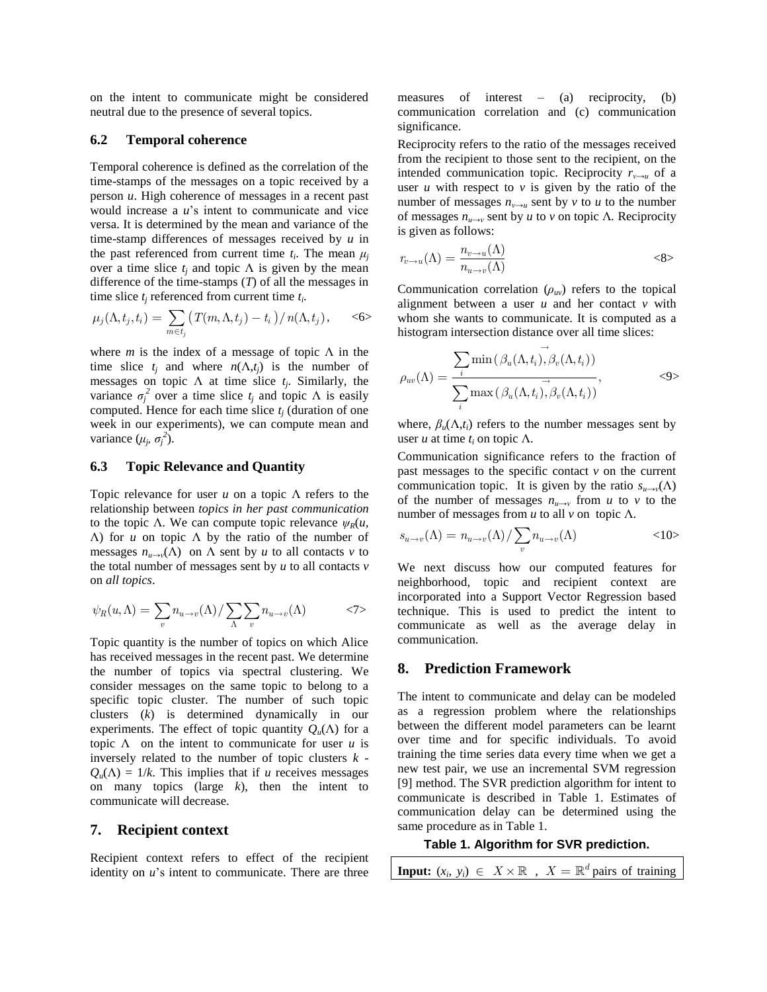on the intent to communicate might be considered neutral due to the presence of several topics.

## **6.2 Temporal coherence**

Temporal coherence is defined as the correlation of the time-stamps of the messages on a topic received by a person *u*. High coherence of messages in a recent past would increase a *u*"s intent to communicate and vice versa. It is determined by the mean and variance of the time-stamp differences of messages received by *u* in the past referenced from current time  $t_i$ . The mean  $\mu_j$ over a time slice  $t_i$  and topic  $\Lambda$  is given by the mean difference of the time-stamps (*T*) of all the messages in

time slice 
$$
t_j
$$
 referenced from current time  $t_i$ .  
\n
$$
\mu_j(\Lambda, t_j, t_i) = \sum_{m \in t_j} \left( T(m, \Lambda, t_j) - t_i \right) / n(\Lambda, t_j), \quad \text{<6>}
$$

where  $m$  is the index of a message of topic  $\Lambda$  in the time slice  $t_i$  and where  $n(\Lambda, t_i)$  is the number of messages on topic  $\Lambda$  at time slice  $t_j$ . Similarly, the variance  $\sigma_j^2$  over a time slice  $t_j$  and topic  $\Lambda$  is easily computed. Hence for each time slice  $t_i$  (duration of one week in our experiments), we can compute mean and variance  $(\mu_j, \sigma_j^2)$ .

## **6.3 Topic Relevance and Quantity**

Topic relevance for user *u* on a topic Λ refers to the relationship between *topics in her past communication*  to the topic Λ. We can compute topic relevance  $ψ<sub>R</sub>(u,$ Λ) for *u* on topic Λ by the ratio of the number of messages  $n_{u\rightarrow v}(\Lambda)$  on  $\Lambda$  sent by *u* to all contacts *v* to the total number of messages sent by *u* to all contacts *v* on *all topics*.

on all topics.  
\n
$$
\psi_R(u,\Lambda) = \sum_v n_{u \to v}(\Lambda) / \sum_{\Lambda} \sum_v n_{u \to v}(\Lambda) \qquad \text{<7>}
$$

Topic quantity is the number of topics on which Alice has received messages in the recent past. We determine the number of topics via spectral clustering. We consider messages on the same topic to belong to a specific topic cluster. The number of such topic clusters (*k*) is determined dynamically in our experiments. The effect of topic quantity  $Q_u(\Lambda)$  for a topic  $\Lambda$  on the intent to communicate for user  $u$  is inversely related to the number of topic clusters *k* -  $Q_u(\Lambda) = 1/k$ . This implies that if *u* receives messages on many topics (large *k*), then the intent to communicate will decrease.

## **7. Recipient context**

Recipient context refers to effect of the recipient identity on *u*"s intent to communicate. There are three

measures of interest – (a) reciprocity, (b) communication correlation and (c) communication significance.

Reciprocity refers to the ratio of the messages received from the recipient to those sent to the recipient, on the intended communication topic. Reciprocity  $r_{v\rightarrow u}$  of a user  $u$  with respect to  $v$  is given by the ratio of the number of messages  $n_{v\rightarrow u}$  sent by  $v$  to  $u$  to the number of messages *nu→v* sent by *u* to *v* on topic Λ*.* Reciprocity is given as follows:

$$
r_{v \to u}(\Lambda) = \frac{n_{v \to u}(\Lambda)}{n_{u \to v}(\Lambda)}
$$
  
<8>

Communication correlation  $(\rho_{uv})$  refers to the topical alignment between a user *u* and her contact *v* with whom she wants to communicate. It is computed as a histogram intersection distance over all time slices:

$$
\rho_{uv}(\Lambda) = \frac{\sum_{i} \min(\beta_u(\Lambda, t_i), \beta_v(\Lambda, t_i))}{\sum_{i} \max(\beta_u(\Lambda, t_i), \beta_v(\Lambda, t_i))},
$$
\n
$$
\tag{9}
$$

where,  $\beta_u(\Lambda,t_i)$  refers to the number messages sent by user *u* at time  $t_i$  on topic Λ.

Communication significance refers to the fraction of past messages to the specific contact *v* on the current communication topic. It is given by the ratio  $s_{u\rightarrow v}(\Lambda)$ of the number of messages  $n_{u\rightarrow v}$  from *u* to *v* to the

number of messages from *u* to all *v* on topic 
$$
\Lambda
$$
.  
\n
$$
s_{u \to v}(\Lambda) = n_{u \to v}(\Lambda) / \sum_{v} n_{u \to v}(\Lambda) \tag{10}
$$

We next discuss how our computed features for neighborhood, topic and recipient context are incorporated into a Support Vector Regression based technique. This is used to predict the intent to communicate as well as the average delay in communication.

# **8. Prediction Framework**

The intent to communicate and delay can be modeled as a regression problem where the relationships between the different model parameters can be learnt over time and for specific individuals. To avoid training the time series data every time when we get a new test pair, we use an incremental SVM regression [9] method. The SVR prediction algorithm for intent to communicate is described in [Table 1.](#page-3-0) Estimates of communication delay can be determined using the same procedure as in [Table 1.](#page-3-0)

#### **Table 1. Algorithm for SVR prediction.**

<span id="page-3-0"></span>**Input:**  $(x_i, y_i) \in X \times \mathbb{R}$ ,  $X = \mathbb{R}^d$  pairs of training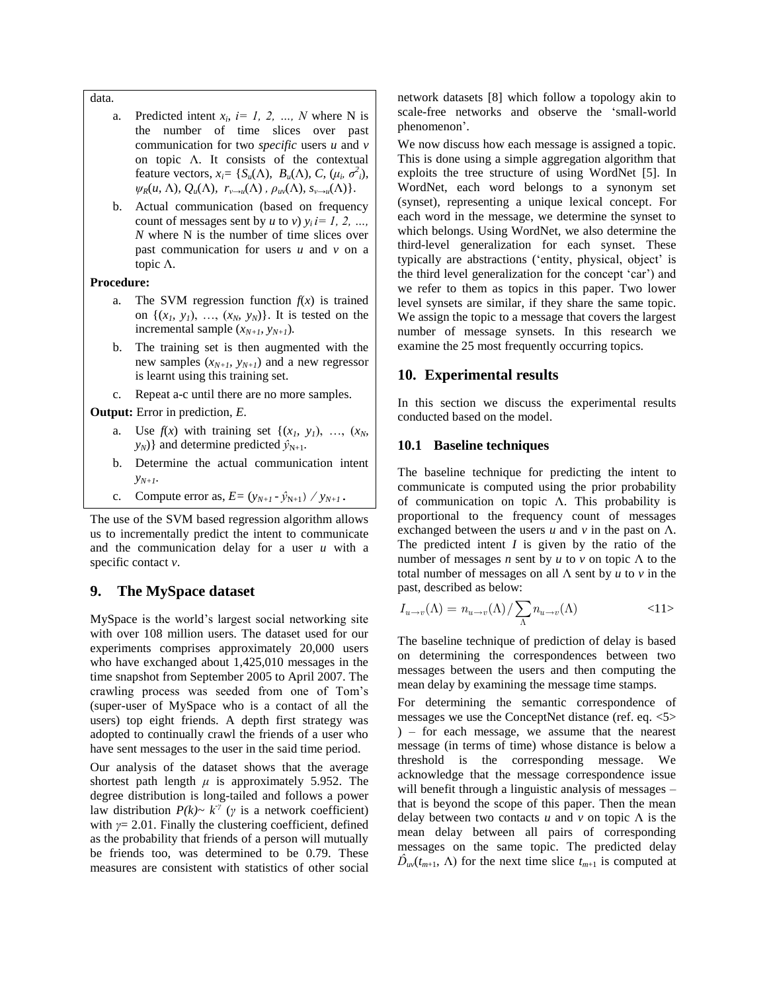#### data.

- a. Predicted intent  $x_i$ ,  $i = 1, 2, ..., N$  where N is the number of time slices over past communication for two *specific* users *u* and *v* on topic  $\Lambda$ . It consists of the contextual feature vectors,  $x_i = \{S_u(\Lambda), B_u(\Lambda), C, (\mu_i, \sigma^2_i),$  $\psi_R(u, \Lambda), Q_u(\Lambda), r_{v\to u}(\Lambda), \rho_{uv}(\Lambda), s_{v\to u}(\Lambda)$ .
- b. Actual communication (based on frequency count of messages sent by *u* to *v*)  $y_i$  *i*= 1, 2, ... *N* where N is the number of time slices over past communication for users *u* and *v* on a topic Λ.

## **Procedure:**

- a. The SVM regression function  $f(x)$  is trained on  $\{(x_1, y_1), \ldots, (x_N, y_N)\}\$ . It is tested on the incremental sample  $(x_{N+1}, y_{N+1})$ *.*
- b. The training set is then augmented with the new samples  $(x_{N+1}, y_{N+1})$  and a new regressor is learnt using this training set.
- c. Repeat a-c until there are no more samples.

**Output:** Error in prediction, *E*.

- a. Use  $f(x)$  with training set  $\{(x_1, y_1), ..., (x_N, y_N)\}$  $y_N$ } and determine predicted  $\hat{y}_{N+1}$ .
- b. Determine the actual communication intent  $V_{N+1}$ .
- c. Compute error as,  $E = (y_{N+1} \hat{y}_{N+1}) / y_{N+1}$ .

The use of the SVM based regression algorithm allows us to incrementally predict the intent to communicate and the communication delay for a user *u* with a specific contact *v*.

# **9. The MySpace dataset**

MySpace is the world"s largest social networking site with over 108 million users. The dataset used for our experiments comprises approximately 20,000 users who have exchanged about 1,425,010 messages in the time snapshot from September 2005 to April 2007. The crawling process was seeded from one of Tom"s (super-user of MySpace who is a contact of all the users) top eight friends. A depth first strategy was adopted to continually crawl the friends of a user who have sent messages to the user in the said time period.

Our analysis of the dataset shows that the average shortest path length  $\mu$  is approximately 5.952. The degree distribution is long-tailed and follows a power law distribution  $P(k) \sim k^{\gamma}$  (*γ* is a network coefficient) with *γ*= 2.01. Finally the clustering coefficient, defined as the probability that friends of a person will mutually be friends too, was determined to be 0.79. These measures are consistent with statistics of other social

network datasets [8] which follow a topology akin to scale-free networks and observe the "small-world phenomenon".

We now discuss how each message is assigned a topic. This is done using a simple aggregation algorithm that exploits the tree structure of using WordNet [5]. In WordNet, each word belongs to a synonym set (synset), representing a unique lexical concept. For each word in the message, we determine the synset to which belongs. Using WordNet, we also determine the third-level generalization for each synset. These typically are abstractions ('entity, physical, object' is the third level generalization for the concept "car") and we refer to them as topics in this paper. Two lower level synsets are similar, if they share the same topic. We assign the topic to a message that covers the largest number of message synsets. In this research we examine the 25 most frequently occurring topics.

## **10. Experimental results**

In this section we discuss the experimental results conducted based on the model.

## **10.1 Baseline techniques**

The baseline technique for predicting the intent to communicate is computed using the prior probability of communication on topic Λ. This probability is proportional to the frequency count of messages exchanged between the users  $u$  and  $v$  in the past on  $\Lambda$ . The predicted intent  $I$  is given by the ratio of the number of messages *n* sent by *u* to *v* on topic Λ to the total number of messages on all Λ sent by *u* to *v* in the past, described as below:

$$
I_{u \to v}(\Lambda) = n_{u \to v}(\Lambda) / \sum_{\Lambda} n_{u \to v}(\Lambda) \tag{11}
$$

The baseline technique of prediction of delay is based on determining the correspondences between two messages between the users and then computing the mean delay by examining the message time stamps.

For determining the semantic correspondence of messages we use the ConceptNet distance (ref. eq. <5> ) – for each message, we assume that the nearest message (in terms of time) whose distance is below a threshold is the corresponding message. We acknowledge that the message correspondence issue will benefit through a linguistic analysis of messages – that is beyond the scope of this paper. Then the mean delay between two contacts  $u$  and  $v$  on topic  $\Lambda$  is the mean delay between all pairs of corresponding messages on the same topic. The predicted delay  $\hat{D}_{uv}(t_{m+1}, \Lambda)$  for the next time slice  $t_{m+1}$  is computed at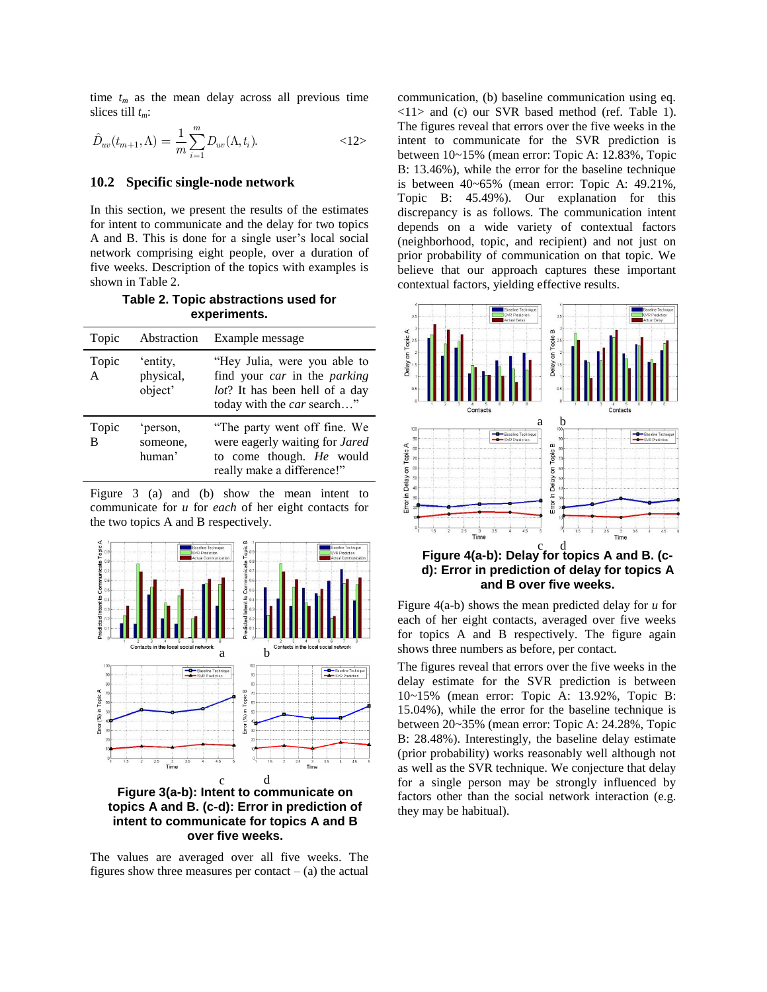time  $t_m$  as the mean delay across all previous time slices till *tm*:

$$
\hat{D}_{uv}(t_{m+1}, \Lambda) = \frac{1}{m} \sum_{i=1}^{m} D_{uv}(\Lambda, t_i).
$$
  $\langle 12 \rangle$ 

# **10.2 Specific single-node network**

In this section, we present the results of the estimates for intent to communicate and the delay for two topics A and B. This is done for a single user"s local social network comprising eight people, over a duration of five weeks. Description of the topics with examples is shown in [Table 2.](#page-5-0)

<span id="page-5-0"></span>**Table 2. Topic abstractions used for experiments.**

| Topic                 | Abstraction                      | Example message                                                                                                              |
|-----------------------|----------------------------------|------------------------------------------------------------------------------------------------------------------------------|
| Topic<br>$\mathsf{A}$ | 'entity,<br>physical,<br>object' | "Hey Julia, were you able to<br>find your car in the parking<br>lot? It has been hell of a day<br>today with the car search" |
| Topic<br>B            | 'person.<br>someone,<br>human'   | "The party went off fine. We<br>were eagerly waiting for Jared<br>to come though. He would<br>really make a difference!"     |

[Figure 3](#page-5-1) (a) and (b) show the mean intent to communicate for *u* for *each* of her eight contacts for the two topics A and B respectively.



<span id="page-5-1"></span>**Figure 3(a-b): Intent to communicate on topics A and B. (c-d): Error in prediction of intent to communicate for topics A and B over five weeks.**

The values are averaged over all five weeks. The figures show three measures per contact  $-$  (a) the actual communication, (b) baseline communication using eq. <11> and (c) our SVR based method (ref. [Table 1\)](#page-3-0). The figures reveal that errors over the five weeks in the intent to communicate for the SVR prediction is between 10~15% (mean error: Topic A: 12.83%, Topic B: 13.46%), while the error for the baseline technique is between 40~65% (mean error: Topic A: 49.21%, Topic B: 45.49%). Our explanation for this discrepancy is as follows. The communication intent depends on a wide variety of contextual factors (neighborhood, topic, and recipient) and not just on prior probability of communication on that topic. We believe that our approach captures these important contextual factors, yielding effective results.



<span id="page-5-2"></span>[Figure 4\(](#page-5-2)a-b) shows the mean predicted delay for *u* for each of her eight contacts, averaged over five weeks for topics A and B respectively. The figure again shows three numbers as before, per contact.

The figures reveal that errors over the five weeks in the delay estimate for the SVR prediction is between 10~15% (mean error: Topic A: 13.92%, Topic B: 15.04%), while the error for the baseline technique is between 20~35% (mean error: Topic A: 24.28%, Topic B: 28.48%). Interestingly, the baseline delay estimate (prior probability) works reasonably well although not as well as the SVR technique. We conjecture that delay for a single person may be strongly influenced by factors other than the social network interaction (e.g. they may be habitual).